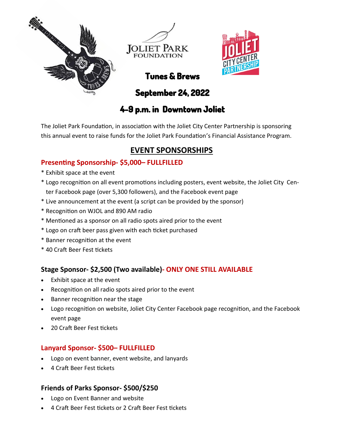





# **Tunes & Brews**

**September 24, 2022** 

## **4-9 p.m. in Downtown Joliet**

The Joliet Park Foundation, in association with the Joliet City Center Partnership is sponsoring this annual event to raise funds for the Joliet Park Foundation's Financial Assistance Program.

### **EVENT SPONSORSHIPS**

### **Presenting Sponsorship- \$5,000– FULLFILLED**

- \* Exhibit space at the event
- \* Logo recognition on all event promotions including posters, event website, the Joliet City Center Facebook page (over 5,300 followers), and the Facebook event page
- \* Live announcement at the event (a script can be provided by the sponsor)
- \* Recognition on WJOL and 890 AM radio
- \* Mentioned as a sponsor on all radio spots aired prior to the event
- \* Logo on craft beer pass given with each ticket purchased
- \* Banner recognition at the event
- \* 40 Craft Beer Fest tickets

#### **Stage Sponsor- \$2,500 (Two available)- ONLY ONE STILL AVAILABLE**

- Exhibit space at the event
- Recognition on all radio spots aired prior to the event
- Banner recognition near the stage
- Logo recognition on website, Joliet City Center Facebook page recognition, and the Facebook event page
- 20 Craft Beer Fest tickets

#### **Lanyard Sponsor- \$500– FULLFILLED**

- Logo on event banner, event website, and lanyards
- 4 Craft Beer Fest tickets

#### **Friends of Parks Sponsor- \$500/\$250**

- Logo on Event Banner and website
- 4 Craft Beer Fest tickets or 2 Craft Beer Fest tickets